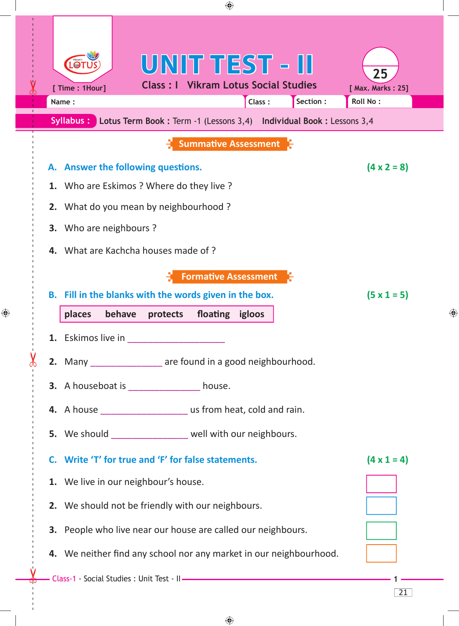|          | ⊕                                                                                                                                                                                                                   |                                     |   |
|----------|---------------------------------------------------------------------------------------------------------------------------------------------------------------------------------------------------------------------|-------------------------------------|---|
|          | UNIT TEST - II<br>$\bullet$<br><b>Class: I</b> Vikram Lotus Social Studies<br>[ Time : 1Hour]<br>Section :<br>Class:<br>Name:<br>Syllabus:<br>Lotus Term Book : Term -1 (Lessons 3,4) Individual Book : Lessons 3,4 | 25<br>[ Max. Marks: 25]<br>Roll No: |   |
|          | <b>Summative Assessment</b>                                                                                                                                                                                         |                                     |   |
| 1.<br>2. | A. Answer the following questions.<br>Who are Eskimos ? Where do they live ?<br>What do you mean by neighbourhood?                                                                                                  | $(4 \times 2 = 8)$                  |   |
|          |                                                                                                                                                                                                                     |                                     |   |
| 3.       | Who are neighbours?                                                                                                                                                                                                 |                                     |   |
| 4.       | What are Kachcha houses made of?                                                                                                                                                                                    |                                     |   |
|          | <b>Formative Assessment</b><br>B. Fill in the blanks with the words given in the box.<br>places<br>behave<br>floating<br>protects<br>igloos                                                                         | $(5 \times 1 = 5)$                  | ⊕ |
|          | 1. Eskimos live in ______________________                                                                                                                                                                           |                                     |   |
|          | 2. Many ________________ are found in a good neighbourhood.                                                                                                                                                         |                                     |   |
|          |                                                                                                                                                                                                                     |                                     |   |
|          | 3. A houseboat is house.                                                                                                                                                                                            |                                     |   |
|          |                                                                                                                                                                                                                     |                                     |   |
|          | 5. We should ______________ well with our neighbours.                                                                                                                                                               |                                     |   |
|          | C. Write 'T' for true and 'F' for false statements.                                                                                                                                                                 | $(4 \times 1 = 4)$                  |   |
|          | 1. We live in our neighbour's house.                                                                                                                                                                                |                                     |   |
|          |                                                                                                                                                                                                                     |                                     |   |
|          | 2. We should not be friendly with our neighbours.                                                                                                                                                                   |                                     |   |
|          | 3. People who live near our house are called our neighbours.                                                                                                                                                        |                                     |   |
|          | 4. We neither find any school nor any market in our neighbourhood.                                                                                                                                                  |                                     |   |
|          |                                                                                                                                                                                                                     |                                     |   |

 $\bigoplus$ 

 $\bigoplus$